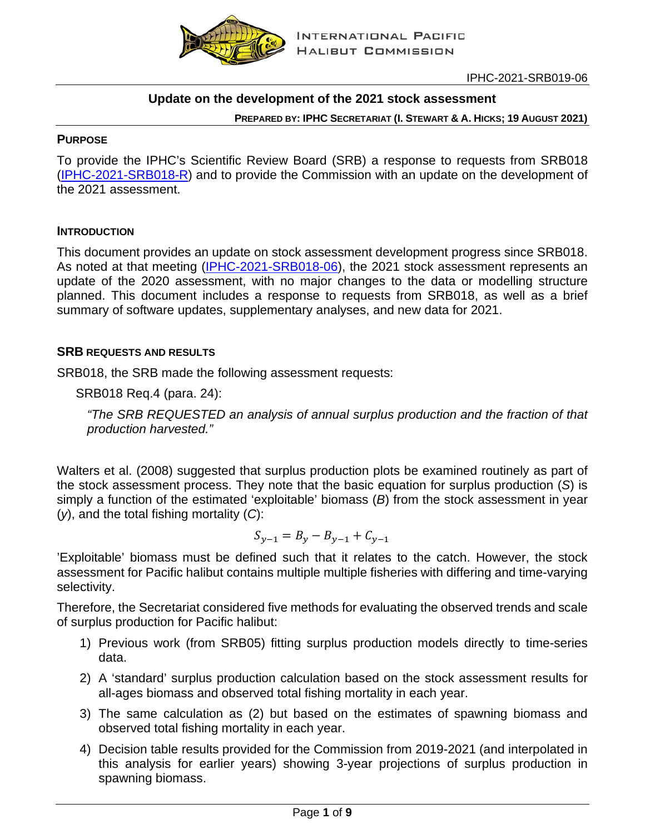

IPHC-2021-SRB019-06

## **Update on the development of the 2021 stock assessment**

**PREPARED BY: IPHC SECRETARIAT (I. STEWART & A. HICKS; 19 AUGUST 2021)**

#### **PURPOSE**

To provide the IPHC's Scientific Review Board (SRB) a response to requests from SRB018 [\(IPHC-2021-SRB018-R\)](https://www.iphc.int/uploads/pdf/srb/srb018/iphc-2021-srb018-r.pdf) and to provide the Commission with an update on the development of the 2021 assessment.

#### **INTRODUCTION**

This document provides an update on stock assessment development progress since SRB018. As noted at that meeting [\(IPHC-2021-SRB018-06\)](https://www.iphc.int/uploads/pdf/srb/srb018/iphc-2021-srb018-06.pdf), the 2021 stock assessment represents an update of the 2020 assessment, with no major changes to the data or modelling structure planned. This document includes a response to requests from SRB018, as well as a brief summary of software updates, supplementary analyses, and new data for 2021.

#### **SRB REQUESTS AND RESULTS**

SRB018, the SRB made the following assessment requests:

SRB018 Req.4 (para. 24):

*"The SRB REQUESTED an analysis of annual surplus production and the fraction of that production harvested."*

Walters et al. [\(2008\)](#page-8-0) suggested that surplus production plots be examined routinely as part of the stock assessment process. They note that the basic equation for surplus production (*S*) is simply a function of the estimated 'exploitable' biomass (*B*) from the stock assessment in year (*y*), and the total fishing mortality (*C*):

$$
S_{y-1} = B_y - B_{y-1} + C_{y-1}
$$

'Exploitable' biomass must be defined such that it relates to the catch. However, the stock assessment for Pacific halibut contains multiple multiple fisheries with differing and time-varying selectivity.

Therefore, the Secretariat considered five methods for evaluating the observed trends and scale of surplus production for Pacific halibut:

- 1) Previous work (from SRB05) fitting surplus production models directly to time-series data.
- 2) A 'standard' surplus production calculation based on the stock assessment results for all-ages biomass and observed total fishing mortality in each year.
- 3) The same calculation as (2) but based on the estimates of spawning biomass and observed total fishing mortality in each year.
- 4) Decision table results provided for the Commission from 2019-2021 (and interpolated in this analysis for earlier years) showing 3-year projections of surplus production in spawning biomass.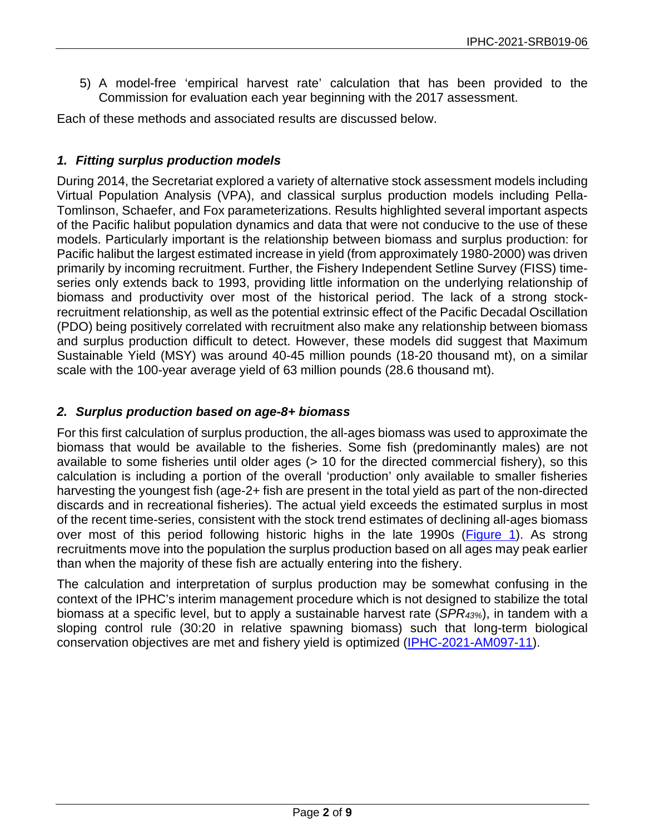5) A model-free 'empirical harvest rate' calculation that has been provided to the Commission for evaluation each year beginning with the 2017 assessment.

Each of these methods and associated results are discussed below.

# *1. Fitting surplus production models*

During 2014, the Secretariat explored a variety of alternative stock assessment models including Virtual Population Analysis (VPA), and classical surplus production models including Pella-Tomlinson, Schaefer, and Fox parameterizations. Results highlighted several important aspects of the Pacific halibut population dynamics and data that were not conducive to the use of these models. Particularly important is the relationship between biomass and surplus production: for Pacific halibut the largest estimated increase in yield (from approximately 1980-2000) was driven primarily by incoming recruitment. Further, the Fishery Independent Setline Survey (FISS) timeseries only extends back to 1993, providing little information on the underlying relationship of biomass and productivity over most of the historical period. The lack of a strong stockrecruitment relationship, as well as the potential extrinsic effect of the Pacific Decadal Oscillation (PDO) being positively correlated with recruitment also make any relationship between biomass and surplus production difficult to detect. However, these models did suggest that Maximum Sustainable Yield (MSY) was around 40-45 million pounds (18-20 thousand mt), on a similar scale with the 100-year average yield of 63 million pounds (28.6 thousand mt).

## *2. Surplus production based on age-8+ biomass*

For this first calculation of surplus production, the all-ages biomass was used to approximate the biomass that would be available to the fisheries. Some fish (predominantly males) are not available to some fisheries until older ages (> 10 for the directed commercial fishery), so this calculation is including a portion of the overall 'production' only available to smaller fisheries harvesting the youngest fish (age-2+ fish are present in the total yield as part of the non-directed discards and in recreational fisheries). The actual yield exceeds the estimated surplus in most of the recent time-series, consistent with the stock trend estimates of declining all-ages biomass over most of this period following historic highs in the late 1990s [\(Figure 1\)](#page-2-0). As strong recruitments move into the population the surplus production based on all ages may peak earlier than when the majority of these fish are actually entering into the fishery.

The calculation and interpretation of surplus production may be somewhat confusing in the context of the IPHC's interim management procedure which is not designed to stabilize the total biomass at a specific level, but to apply a sustainable harvest rate (*SPR43%*), in tandem with a sloping control rule (30:20 in relative spawning biomass) such that long-term biological conservation objectives are met and fishery yield is optimized [\(IPHC-2021-AM097-11\)](https://www.iphc.int/uploads/pdf/am/am097/iphc-2021-am097-11.pdf).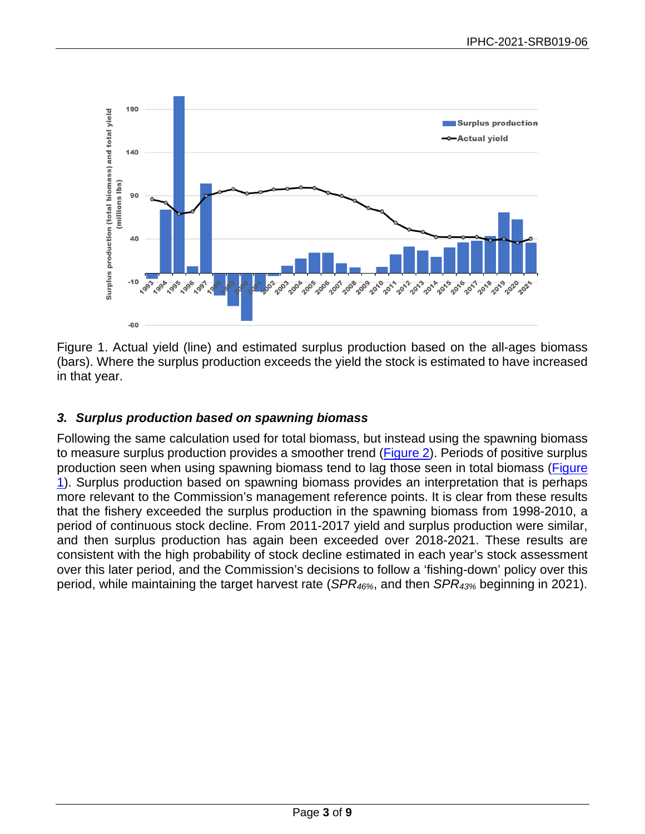

<span id="page-2-0"></span>Figure 1. Actual yield (line) and estimated surplus production based on the all-ages biomass (bars). Where the surplus production exceeds the yield the stock is estimated to have increased in that year.

## *3. Surplus production based on spawning biomass*

Following the same calculation used for total biomass, but instead using the spawning biomass to measure surplus production provides a smoother trend [\(Figure 2\)](#page-3-0). Periods of positive surplus production seen when using spawning biomass tend to lag those seen in total biomass (Figure [1\)](#page-2-0). Surplus production based on spawning biomass provides an interpretation that is perhaps more relevant to the Commission's management reference points. It is clear from these results that the fishery exceeded the surplus production in the spawning biomass from 1998-2010, a period of continuous stock decline. From 2011-2017 yield and surplus production were similar, and then surplus production has again been exceeded over 2018-2021. These results are consistent with the high probability of stock decline estimated in each year's stock assessment over this later period, and the Commission's decisions to follow a 'fishing-down' policy over this period, while maintaining the target harvest rate (*SPR46%*, and then *SPR43%* beginning in 2021).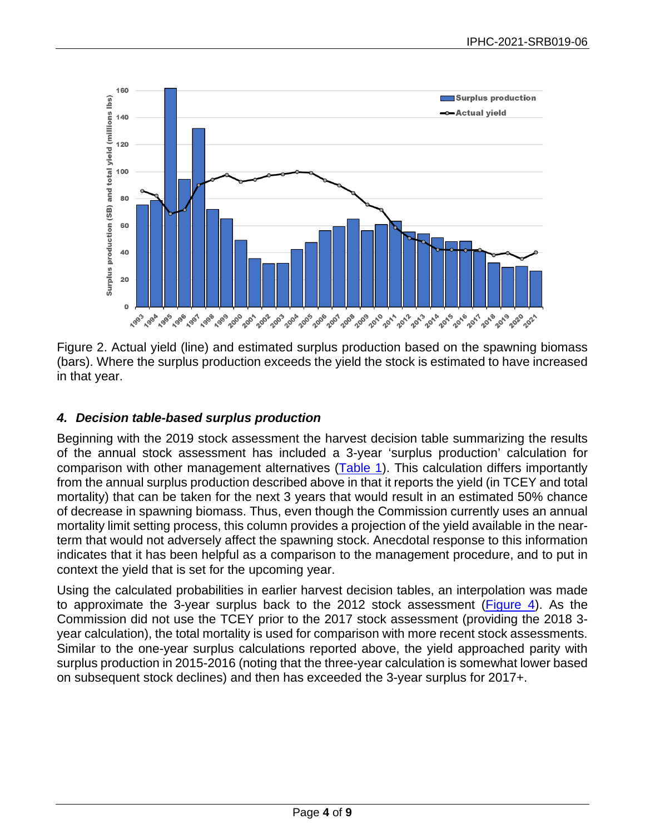

<span id="page-3-0"></span>Figure 2. Actual yield (line) and estimated surplus production based on the spawning biomass (bars). Where the surplus production exceeds the yield the stock is estimated to have increased in that year.

## *4. Decision table-based surplus production*

Beginning with the 2019 stock assessment the harvest decision table summarizing the results of the annual stock assessment has included a 3-year 'surplus production' calculation for comparison with other management alternatives [\(Table 1\)](#page-4-0). This calculation differs importantly from the annual surplus production described above in that it reports the yield (in TCEY and total mortality) that can be taken for the next 3 years that would result in an estimated 50% chance of decrease in spawning biomass. Thus, even though the Commission currently uses an annual mortality limit setting process, this column provides a projection of the yield available in the nearterm that would not adversely affect the spawning stock. Anecdotal response to this information indicates that it has been helpful as a comparison to the management procedure, and to put in context the yield that is set for the upcoming year.

Using the calculated probabilities in earlier harvest decision tables, an interpolation was made to approximate the 3-year surplus back to the 2012 stock assessment [\(Figure 4\)](#page-6-0). As the Commission did not use the TCEY prior to the 2017 stock assessment (providing the 2018 3 year calculation), the total mortality is used for comparison with more recent stock assessments. Similar to the one-year surplus calculations reported above, the yield approached parity with surplus production in 2015-2016 (noting that the three-year calculation is somewhat lower based on subsequent stock declines) and then has exceeded the 3-year surplus for 2017+.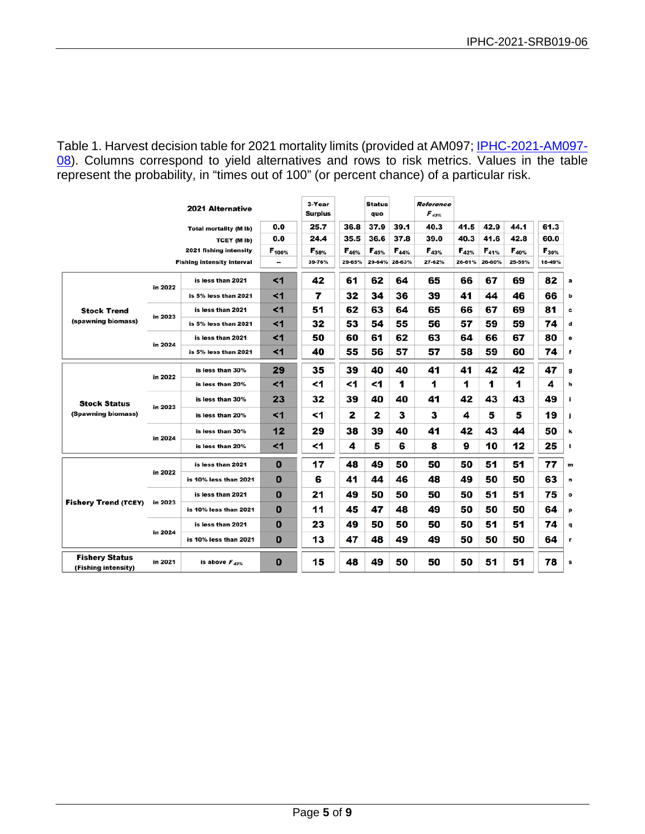<span id="page-4-0"></span>Table 1. Harvest decision table for 2021 mortality limits (provided at AM097; [IPHC-2021-AM097-](https://www.iphc.int/uploads/pdf/am/am097/iphc-2021-am097-08.pdf) [08\)](https://www.iphc.int/uploads/pdf/am/am097/iphc-2021-am097-08.pdf). Columns correspond to yield alternatives and rows to risk metrics. Values in the table represent the probability, in "times out of 100" (or percent chance) of a particular risk.

| <b>2021 Alternative</b>                      |         |                       | 3-Year<br><b>Surplus</b> |            | <b>Status</b><br>quo |            | Reference<br>$\pmb{F}_{\pmb{43\%}}$ |            |            |            |            |            |           |
|----------------------------------------------|---------|-----------------------|--------------------------|------------|----------------------|------------|-------------------------------------|------------|------------|------------|------------|------------|-----------|
| <b>Total mortality (M lb)</b>                |         |                       | 0.0                      | 25.7       | 36.8                 | 37.9       | 39.1                                | 40.3       | 41.5       | 42.9       | 44.1       | 61.3       |           |
| <b>TCEY (M Ib)</b>                           |         |                       | 0.0                      | 24.4       | 35.5                 | 36.6       | 37.8                                | 39.0       | 40.3       | 41.6       | 42.8       | 60.0       |           |
| 2021 fishing intensity                       |         |                       | $F_{100\%}$              | $F_{58\%}$ | $F_{46\%}$           | $F_{45\%}$ | $F_{44\%}$                          | $F_{43\%}$ | $F_{42\%}$ | $F_{41\%}$ | $F_{40\%}$ | $F_{30\%}$ |           |
| <b>Fishing intensity interval</b>            |         |                       |                          | 39-76%     | 29-65%               | 29-64%     | 28-63%                              | 27-62%     | 26-61%     | 26-60%     | 25-59%     | 18-49%     |           |
| <b>Stock Trend</b><br>(spawning biomass)     | in 2022 | is less than 2021     | $\leq 1$                 | 42         | 61                   | 62         | 64                                  | 65         | 66         | 67         | 69         | 82         | a         |
|                                              |         | is 5% less than 2021  | $1$                      | 7          | 32                   | 34         | 36                                  | 39         | 41         | 44         | 46         | 66         | b         |
|                                              | in 2023 | is less than 2021     | < 1                      | 51         | 62                   | 63         | 64                                  | 65         | 66         | 67         | 69         | 81         | c         |
|                                              |         | is 5% less than 2021  | $\leq$ 1                 | 32         | 53                   | 54         | 55                                  | 56         | 57         | 59         | 59         | 74         | d         |
|                                              | in 2024 | is less than 2021     | $1$                      | 50         | 60                   | 61         | 62                                  | 63         | 64         | 66         | 67         | 80         | е         |
|                                              |         | is 5% less than 2021  | $1$                      | 40         | 55                   | 56         | 57                                  | 57         | 58         | 59         | 60         | 74         | f         |
| <b>Stock Status</b><br>(Spawning biomass)    | in 2022 | is less than 30%      | 29                       | 35         | 39                   | 40         | 40                                  | 41         | 41         | 42         | 42         | 47         | g         |
|                                              |         | is less than 20%      | $1$                      | <1         | <1                   | <1         | 1                                   | 1          | 1          | 1          | 1          | 4          | h         |
|                                              | in 2023 | is less than 30%      | 23                       | 32         | 39                   | 40         | 40                                  | 41         | 42         | 43         | 43         | 49         | j.        |
|                                              |         | is less than 20%      | $1$                      | <1         | 2                    | 2          | 3                                   | з          | 4          | 5          | 5          | 19         | j         |
|                                              | in 2024 | is less than 30%      | 12                       | 29         | 38                   | 39         | 40                                  | 41         | 42         | 43         | 44         | 50         | k         |
|                                              |         | is less than 20%      | $1$                      | <1         | 4                    | 5          | 6                                   | 8          | 9          | 10         | 12         | 25         | п         |
| <b>Fishery Trend (TCEY)</b>                  | in 2022 | is less than 2021     | 0                        | 17         | 48                   | 49         | 50                                  | 50         | 50         | 51         | 51         | 77         | m         |
|                                              |         | is 10% less than 2021 | 0                        | 6          | 41                   | 44         | 46                                  | 48         | 49         | 50         | 50         | 63         | n         |
|                                              | in 2023 | is less than 2021     | 0                        | 21         | 49                   | 50         | 50                                  | 50         | 50         | 51         | 51         | 75         | $\bullet$ |
|                                              |         | is 10% less than 2021 | $\bf{0}$                 | 11         | 45                   | 47         | 48                                  | 49         | 50         | 50         | 50         | 64         | p         |
|                                              | in 2024 | is less than 2021     | 0                        | 23         | 49                   | 50         | 50                                  | 50         | 50         | 51         | 51         | 74         | q         |
|                                              |         | is 10% less than 2021 | $\bf{0}$                 | 13         | 47                   | 48         | 49                                  | 49         | 50         | 50         | 50         | 64         | r         |
| <b>Fishery Status</b><br>(Fishing intensity) | in 2021 | is above $F_{A3\%}$   | 0                        | 15         | 48                   | 49         | 50                                  | 50         | 50         | 51         | 51         | 78         | s         |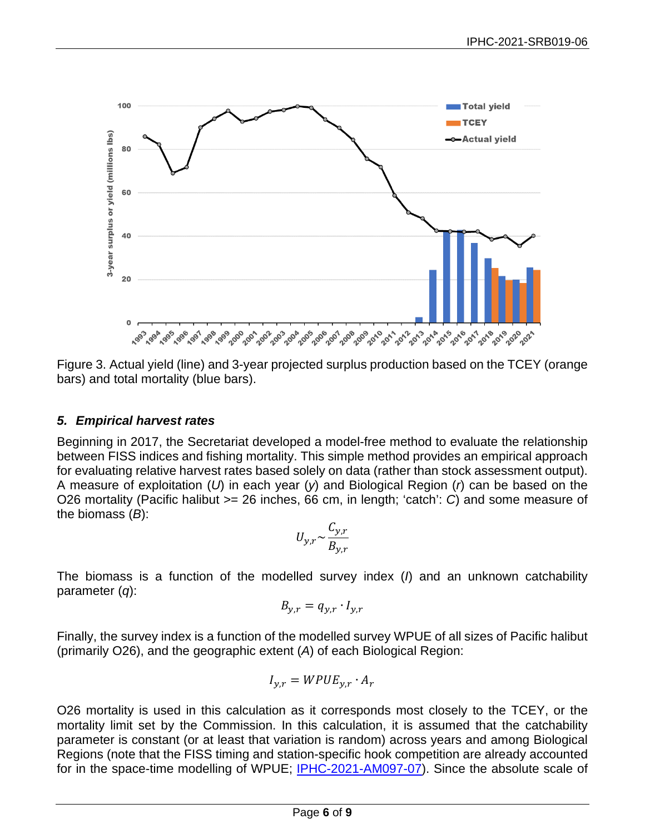

Figure 3. Actual yield (line) and 3-year projected surplus production based on the TCEY (orange bars) and total mortality (blue bars).

## *5. Empirical harvest rates*

Beginning in 2017, the Secretariat developed a model-free method to evaluate the relationship between FISS indices and fishing mortality. This simple method provides an empirical approach for evaluating relative harvest rates based solely on data (rather than stock assessment output). A measure of exploitation (*U*) in each year (*y*) and Biological Region (*r*) can be based on the O26 mortality (Pacific halibut >= 26 inches, 66 cm, in length; 'catch': *C*) and some measure of the biomass (*B*):

$$
U_{y,r} \sim \frac{C_{y,r}}{B_{y,r}}
$$

The biomass is a function of the modelled survey index (*I*) and an unknown catchability parameter (*q*):

$$
B_{y,r} = q_{y,r} \cdot I_{y,r}
$$

Finally, the survey index is a function of the modelled survey WPUE of all sizes of Pacific halibut (primarily O26), and the geographic extent (*A*) of each Biological Region:

$$
I_{y,r}=WPUE_{y,r}\cdot A_r
$$

O26 mortality is used in this calculation as it corresponds most closely to the TCEY, or the mortality limit set by the Commission. In this calculation, it is assumed that the catchability parameter is constant (or at least that variation is random) across years and among Biological Regions (note that the FISS timing and station-specific hook competition are already accounted for in the space-time modelling of WPUE; [IPHC-2021-AM097-07\)](https://www.iphc.int/uploads/pdf/am/am097/iphc-2021-am097-10.pdf). Since the absolute scale of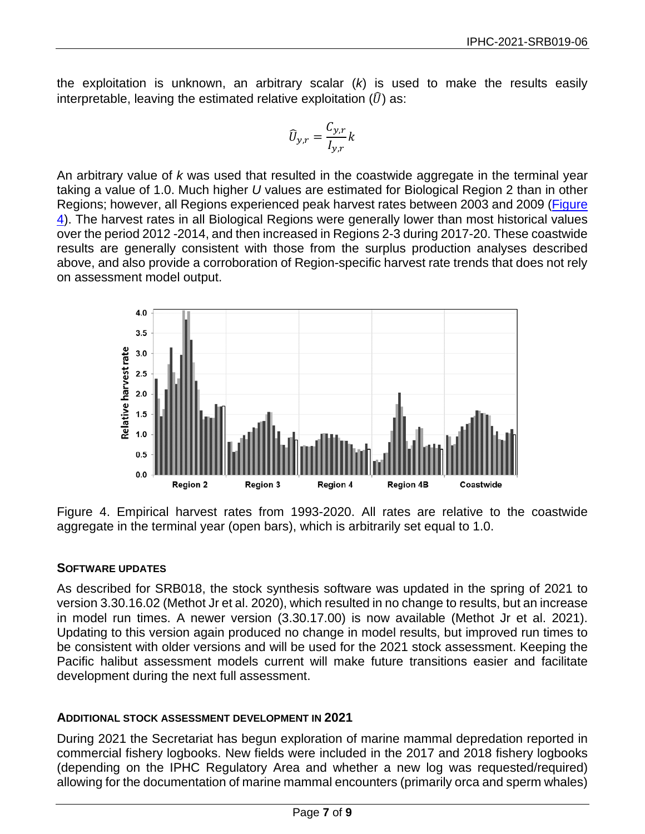the exploitation is unknown, an arbitrary scalar (*k*) is used to make the results easily interpretable, leaving the estimated relative exploitation  $(\widehat{U})$  as:

$$
\widehat{U}_{y,r} = \frac{C_{y,r}}{I_{y,r}} k
$$

An arbitrary value of *k* was used that resulted in the coastwide aggregate in the terminal year taking a value of 1.0. Much higher *U* values are estimated for Biological Region 2 than in other Regions; however, all Regions experienced peak harvest rates between 2003 and 2009 [\(Figure](#page-6-0)  [4\)](#page-6-0). The harvest rates in all Biological Regions were generally lower than most historical values over the period 2012 -2014, and then increased in Regions 2-3 during 2017-20. These coastwide results are generally consistent with those from the surplus production analyses described above, and also provide a corroboration of Region-specific harvest rate trends that does not rely on assessment model output.



<span id="page-6-0"></span>Figure 4. Empirical harvest rates from 1993-2020. All rates are relative to the coastwide aggregate in the terminal year (open bars), which is arbitrarily set equal to 1.0.

## **SOFTWARE UPDATES**

As described for SRB018, the stock synthesis software was updated in the spring of 2021 to version 3.30.16.02 [\(Methot Jr et al. 2020\)](#page-8-1), which resulted in no change to results, but an increase in model run times. A newer version (3.30.17.00) is now available [\(Methot Jr et al. 2021\)](#page-8-2). Updating to this version again produced no change in model results, but improved run times to be consistent with older versions and will be used for the 2021 stock assessment. Keeping the Pacific halibut assessment models current will make future transitions easier and facilitate development during the next full assessment.

## **ADDITIONAL STOCK ASSESSMENT DEVELOPMENT IN 2021**

During 2021 the Secretariat has begun exploration of marine mammal depredation reported in commercial fishery logbooks. New fields were included in the 2017 and 2018 fishery logbooks (depending on the IPHC Regulatory Area and whether a new log was requested/required) allowing for the documentation of marine mammal encounters (primarily orca and sperm whales)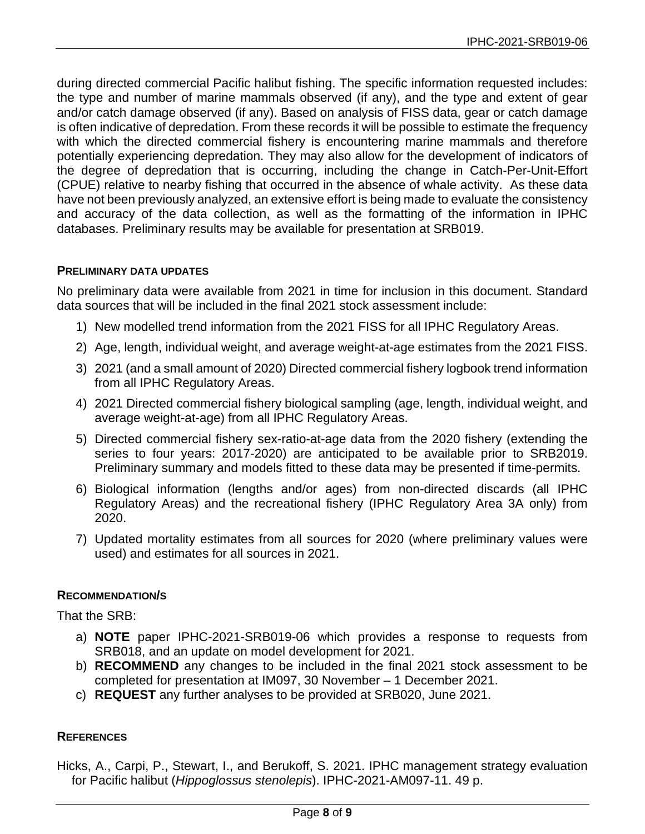during directed commercial Pacific halibut fishing. The specific information requested includes: the type and number of marine mammals observed (if any), and the type and extent of gear and/or catch damage observed (if any). Based on analysis of FISS data, gear or catch damage is often indicative of depredation. From these records it will be possible to estimate the frequency with which the directed commercial fishery is encountering marine mammals and therefore potentially experiencing depredation. They may also allow for the development of indicators of the degree of depredation that is occurring, including the change in Catch-Per-Unit-Effort (CPUE) relative to nearby fishing that occurred in the absence of whale activity. As these data have not been previously analyzed, an extensive effort is being made to evaluate the consistency and accuracy of the data collection, as well as the formatting of the information in IPHC databases. Preliminary results may be available for presentation at SRB019.

#### **PRELIMINARY DATA UPDATES**

No preliminary data were available from 2021 in time for inclusion in this document. Standard data sources that will be included in the final 2021 stock assessment include:

- 1) New modelled trend information from the 2021 FISS for all IPHC Regulatory Areas.
- 2) Age, length, individual weight, and average weight-at-age estimates from the 2021 FISS.
- 3) 2021 (and a small amount of 2020) Directed commercial fishery logbook trend information from all IPHC Regulatory Areas.
- 4) 2021 Directed commercial fishery biological sampling (age, length, individual weight, and average weight-at-age) from all IPHC Regulatory Areas.
- 5) Directed commercial fishery sex-ratio-at-age data from the 2020 fishery (extending the series to four years: 2017-2020) are anticipated to be available prior to SRB2019. Preliminary summary and models fitted to these data may be presented if time-permits.
- 6) Biological information (lengths and/or ages) from non-directed discards (all IPHC Regulatory Areas) and the recreational fishery (IPHC Regulatory Area 3A only) from 2020.
- 7) Updated mortality estimates from all sources for 2020 (where preliminary values were used) and estimates for all sources in 2021.

#### **RECOMMENDATION/S**

That the SRB:

- a) **NOTE** paper IPHC-2021-SRB019-06 which provides a response to requests from SRB018, and an update on model development for 2021.
- b) **RECOMMEND** any changes to be included in the final 2021 stock assessment to be completed for presentation at IM097, 30 November – 1 December 2021.
- c) **REQUEST** any further analyses to be provided at SRB020, June 2021.

#### **REFERENCES**

Hicks, A., Carpi, P., Stewart, I., and Berukoff, S. 2021. IPHC management strategy evaluation for Pacific halibut (*Hippoglossus stenolepis*). IPHC-2021-AM097-11. 49 p.